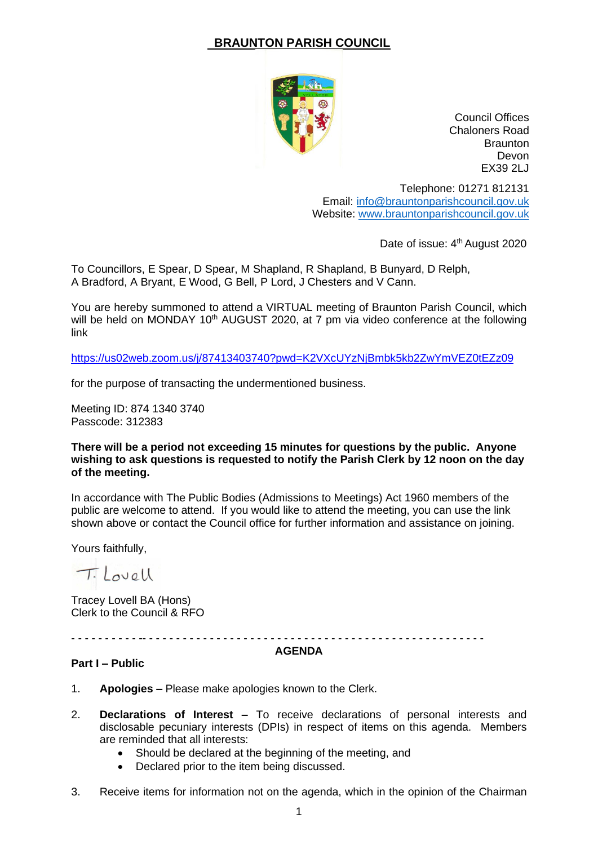# **BRAUNTON PARISH COUNCIL**



Council Offices Chaloners Road **Braunton** Devon EX39 2LJ

Telephone: 01271 812131 Email: [info@brauntonparishcouncil.gov.uk](mailto:info@brauntonparishcouncil.gov.uk) Website: [www.brauntonparishcouncil.gov.uk](http://www.brauntonparishcouncil.gov.uk/)

Date of issue: 4<sup>th</sup> August 2020

To Councillors, E Spear, D Spear, M Shapland, R Shapland, B Bunyard, D Relph, A Bradford, A Bryant, E Wood, G Bell, P Lord, J Chesters and V Cann.

You are hereby summoned to attend a VIRTUAL meeting of Braunton Parish Council, which will be held on MONDAY 10<sup>th</sup> AUGUST 2020, at 7 pm via video conference at the following link

<https://us02web.zoom.us/j/87413403740?pwd=K2VXcUYzNjBmbk5kb2ZwYmVEZ0tEZz09>

for the purpose of transacting the undermentioned business.

Meeting ID: 874 1340 3740 Passcode: 312383

#### **There will be a period not exceeding 15 minutes for questions by the public. Anyone wishing to ask questions is requested to notify the Parish Clerk by 12 noon on the day of the meeting.**

In accordance with The Public Bodies (Admissions to Meetings) Act 1960 members of the public are welcome to attend. If you would like to attend the meeting, you can use the link shown above or contact the Council office for further information and assistance on joining.

Yours faithfully,

Tilovall

Tracey Lovell BA (Hons) Clerk to the Council & RFO

- - - - - - - - - - -- - - - - - - - - - - - - - - - - - - - - - - - - - - - - - - - - - - - - - - - - - - - - - - - - - -

#### **AGENDA**

### **Part I – Public**

- 1. **Apologies –** Please make apologies known to the Clerk.
- 2. **Declarations of Interest –** To receive declarations of personal interests and disclosable pecuniary interests (DPIs) in respect of items on this agenda. Members are reminded that all interests:
	- Should be declared at the beginning of the meeting, and
	- Declared prior to the item being discussed.
- 3. Receive items for information not on the agenda, which in the opinion of the Chairman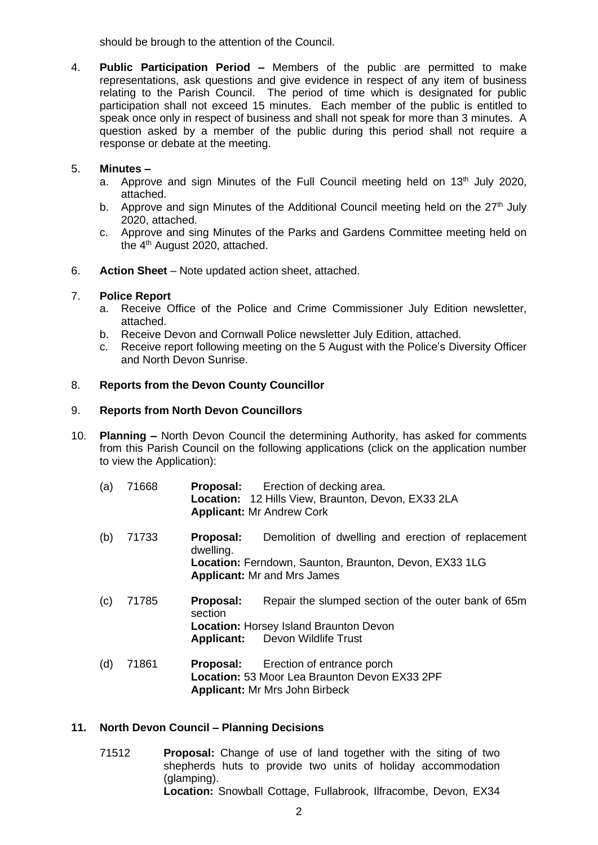should be brough to the attention of the Council.

4. **Public Participation Period –** Members of the public are permitted to make representations, ask questions and give evidence in respect of any item of business relating to the Parish Council. The period of time which is designated for public participation shall not exceed 15 minutes. Each member of the public is entitled to speak once only in respect of business and shall not speak for more than 3 minutes. A question asked by a member of the public during this period shall not require a response or debate at the meeting.

### 5. **Minutes –**

- a. Approve and sign Minutes of the Full Council meeting held on 13<sup>th</sup> July 2020, attached.
- b. Approve and sign Minutes of the Additional Council meeting held on the  $27<sup>th</sup>$  July 2020, attached.
- c. Approve and sing Minutes of the Parks and Gardens Committee meeting held on the 4<sup>th</sup> August 2020, attached.
- 6. **Action Sheet** Note updated action sheet, attached.

# 7. **Police Report**

- a. Receive Office of the Police and Crime Commissioner July Edition newsletter, attached.
- b. Receive Devon and Cornwall Police newsletter July Edition, attached.
- c. Receive report following meeting on the 5 August with the Police's Diversity Officer and North Devon Sunrise.

# 8. **Reports from the Devon County Councillor**

### 9. **Reports from North Devon Councillors**

- 10. **Planning –** North Devon Council the determining Authority, has asked for comments from this Parish Council on the following applications (click on the application number to view the Application):
	- (a) 71668 **Proposal:** Erection of decking area. **Location:** 12 Hills View, Braunton, Devon, EX33 2LA **Applicant:** Mr Andrew Cork
	- (b) 71733 **Proposal:** Demolition of dwelling and erection of replacement dwelling. **Location:** Ferndown, Saunton, Braunton, Devon, EX33 1LG **Applicant:** Mr and Mrs James
	- (c) 71785 **Proposal:** Repair the slumped section of the outer bank of 65m section **Location:** Horsey Island Braunton Devon **Applicant:** Devon Wildlife Trust
	- (d) 71861 **Proposal:** Erection of entrance porch **Location:** 53 Moor Lea Braunton Devon EX33 2PF **Applicant:** Mr Mrs John Birbeck

### **11. North Devon Council – Planning Decisions**

71512 **Proposal:** Change of use of land together with the siting of two shepherds huts to provide two units of holiday accommodation (glamping). **Location:** Snowball Cottage, Fullabrook, Ilfracombe, Devon, EX34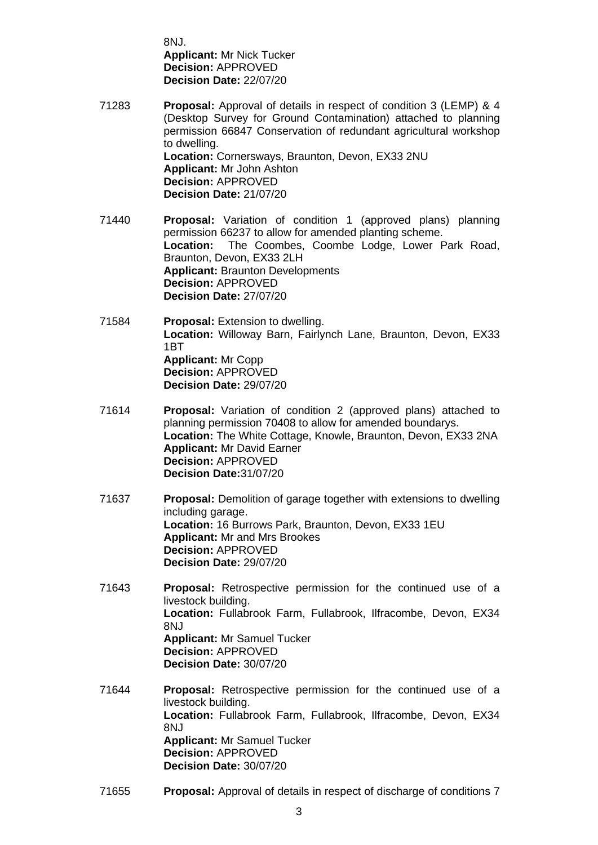8NJ. **Applicant:** Mr Nick Tucker **Decision:** APPROVED **Decision Date:** 22/07/20

- 71283 **Proposal:** Approval of details in respect of condition 3 (LEMP) & 4 (Desktop Survey for Ground Contamination) attached to planning permission 66847 Conservation of redundant agricultural workshop to dwelling. **Location:** Cornersways, Braunton, Devon, EX33 2NU **Applicant:** Mr John Ashton **Decision:** APPROVED **Decision Date:** 21/07/20
- 71440 **Proposal:** Variation of condition 1 (approved plans) planning permission 66237 to allow for amended planting scheme. **Location:** The Coombes, Coombe Lodge, Lower Park Road, Braunton, Devon, EX33 2LH **Applicant:** Braunton Developments **Decision:** APPROVED **Decision Date:** 27/07/20
- 71584 **Proposal:** Extension to dwelling. **Location:** Willoway Barn, Fairlynch Lane, Braunton, Devon, EX33 1BT **Applicant:** Mr Copp **Decision:** APPROVED **Decision Date:** 29/07/20
- 71614 **Proposal:** Variation of condition 2 (approved plans) attached to planning permission 70408 to allow for amended boundarys. **Location:** The White Cottage, Knowle, Braunton, Devon, EX33 2NA **Applicant:** Mr David Earner **Decision:** APPROVED **Decision Date:**31/07/20
- 71637 **Proposal:** Demolition of garage together with extensions to dwelling including garage. **Location:** 16 Burrows Park, Braunton, Devon, EX33 1EU **Applicant:** Mr and Mrs Brookes **Decision:** APPROVED **Decision Date:** 29/07/20
- 71643 **Proposal:** Retrospective permission for the continued use of a livestock building. **Location:** Fullabrook Farm, Fullabrook, Ilfracombe, Devon, EX34 8NJ **Applicant:** Mr Samuel Tucker **Decision:** APPROVED **Decision Date:** 30/07/20
- 71644 **Proposal:** Retrospective permission for the continued use of a livestock building. **Location:** Fullabrook Farm, Fullabrook, Ilfracombe, Devon, EX34 8NJ **Applicant:** Mr Samuel Tucker **Decision:** APPROVED **Decision Date:** 30/07/20
- 71655 **Proposal:** Approval of details in respect of discharge of conditions 7